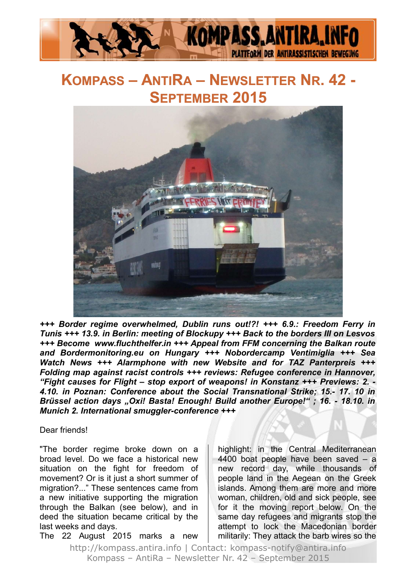

## **KOMPASS – ANTIRA – NEWSLETTER NR. 42 - SEPTEMBER 2015**



*+++ Border regime overwhelmed, Dublin runs out!?! +++ 6.9.: Freedom Ferry in Tunis +++ 13.9. in Berlin: meeting of Blockupy +++ Back to the borders III on Lesvos +++ Become www.fluchthelfer.in +++ Appeal from FFM concerning the Balkan route and Bordermonitoring.eu on Hungary +++ Nobordercamp Ventimiglia +++ Sea Watch News +++ Alarmphone with new Website and for TAZ Panterpreis +++ Folding map against racist controls +++ reviews: Refugee conference in Hannover, "Fight causes for Flight – stop export of weapons! in Konstanz +++ Previews: 2. - 4.10. in Poznan: Conference about the Social Transnational Strike; 15.- 17. 10 in Brüssel action days "Oxi! Basta! Enough! Build another Europe!" ; 16. - 18.10. in Munich 2. International smuggler-conference +++*

#### Dear friends!

"The border regime broke down on a broad level. Do we face a historical new situation on the fight for freedom of movement? Or is it just a short summer of migration?..." These sentences came from a new initiative supporting the migration through the Balkan (see below), and in deed the situation became critical by the last weeks and days.

The 22 August 2015 marks a new

highlight: in the Central Mediterranean 4400 boat people have been saved – a new record day, while thousands of people land in the Aegean on the Greek islands. Among them are more and more woman, children, old and sick people, see for it the moving report below. On the same day refugees and migrants stop the attempt to lock the Macedonian border militarily: They attack the barb wires so the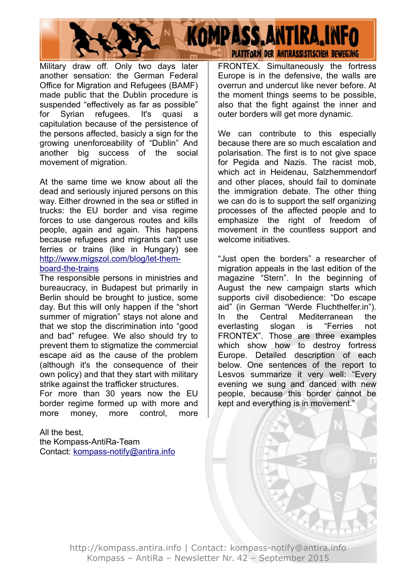

Military draw off. Only two days later another sensation: the German Federal Office for Migration and Refugees (BAMF) made public that the Dublin procedure is suspended "effectively as far as possible" for Syrian refugees. It's quasi a capitulation because of the persistence of the persons affected, basicly a sign for the growing unenforceability of "Dublin" And another big success of the social movement of migration.

At the same time we know about all the dead and seriously injured persons on this way. Either drowned in the sea or stifled in trucks: the EU border and visa regime forces to use dangerous routes and kills people, again and again. This happens because refugees and migrants can't use ferries or trains (like in Hungary) see [http://www.migszol.com/blog/let-them](http://www.migszol.com/blog/let-them-board-the-trains)[board-the-trains](http://www.migszol.com/blog/let-them-board-the-trains)

The responsible persons in ministries and bureaucracy, in Budapest but primarily in Berlin should be brought to justice, some day. But this will only happen if the "short summer of migration" stays not alone and that we stop the discrimination into "good and bad" refugee. We also should try to prevent them to stigmatize the commercial escape aid as the cause of the problem (although it's the consequence of their own policy) and that they start with military strike against the trafficker structures.

For more than 30 years now the EU border regime formed up with more and more money, more control, more

All the best, the Kompass-AntiRa-Team Contact: [kompass-notify@antira.inf](mailto:kompass-notify@antira.info)o FRONTEX. Simultaneously the fortress Europe is in the defensive, the walls are overrun and undercut like never before. At the moment things seems to be possible, also that the fight against the inner and outer borders will get more dynamic.

We can contribute to this especially because there are so much escalation and polarisation. The first is to not give space for Pegida and Nazis. The racist mob, which act in Heidenau, Salzhemmendorf and other places, should fail to dominate the immigration debate. The other thing we can do is to support the self organizing processes of the affected people and to emphasize the right of freedom of movement in the countless support and welcome initiatives.

"Just open the borders" a researcher of migration appeals in the last edition of the magazine "Stern". In the beginning of August the new campaign starts which supports civil disobedience: "Do escape aid" (in German "Werde Fluchthelfer.in"). In the Central Mediterranean the everlasting slogan is "Ferries not FRONTEX". Those are three examples which show how to destroy fortress Europe. Detailed description of each below. One sentences of the report to Lesvos summarize it very well: "Every evening we sung and danced with new people, because this border cannot be kept and everything is in movement."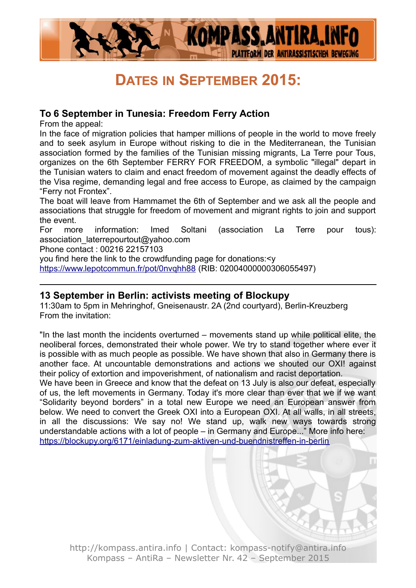

## **DATES IN SEPTEMBER 2015:**

## **To 6 September in Tunesia: Freedom Ferry Action**

From the appeal:

In the face of migration policies that hamper millions of people in the world to move freely and to seek asylum in Europe without risking to die in the Mediterranean, the Tunisian association formed by the families of the Tunisian missing migrants, La Terre pour Tous, organizes on the 6th September FERRY FOR FREEDOM, a symbolic "illegal" depart in the Tunisian waters to claim and enact freedom of movement against the deadly effects of the Visa regime, demanding legal and free access to Europe, as claimed by the campaign "Ferry not Frontex".

The boat will leave from Hammamet the 6th of September and we ask all the people and associations that struggle for freedom of movement and migrant rights to join and support the event.

For more information: Imed Soltani (association La Terre pour tous): association\_laterrepourtout@yahoo.com

Phone contact : 00216 22157103

you find here the link to the crowdfunding page for donations:<y

<https://www.lepotcommun.fr/pot/0nvqhh88> (RIB: 02004000000306055497)

### **13 September in Berlin: activists meeting of Blockupy**

11:30am to 5pm in Mehringhof, Gneisenaustr. 2A (2nd courtyard), Berlin-Kreuzberg From the invitation:

"In the last month the incidents overturned – movements stand up while political elite, the neoliberal forces, demonstrated their whole power. We try to stand together where ever it is possible with as much people as possible. We have shown that also in Germany there is another face. At uncountable demonstrations and actions we shouted our OXI! against their policy of extortion and impoverishment, of nationalism and racist deportation.

We have been in Greece and know that the defeat on 13 July is also our defeat, especially of us, the left movements in Germany. Today it's more clear than ever that we if we want "Solidarity beyond borders" in a total new Europe we need an European answer from below. We need to convert the Greek OXI into a European OXI. At all walls, in all streets, in all the discussions: We say no! We stand up, walk new ways towards strong understandable actions with a lot of people – in Germany and Europe..." More info here: <https://blockupy.org/6171/einladung-zum-aktiven-und-buendnistreffen-in-berlin>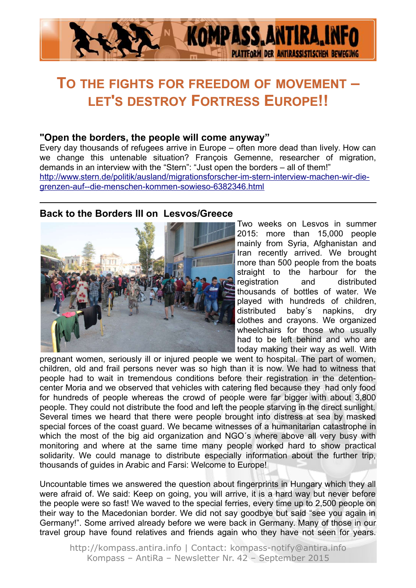

## **TO THE FIGHTS FOR FREEDOM OF MOVEMENT – LET'S DESTROY FORTRESS EUROPE!!**

#### **"Open the borders, the people will come anyway"**

Every day thousands of refugees arrive in Europe – often more dead than lively. How can we change this untenable situation? François Gemenne, researcher of migration, demands in an interview with the "Stern": "Just open the borders – all of them!" [http://www.stern.de/politik/ausland/migrationsforscher-im-stern-interview-machen-wir-die](http://www.stern.de/politik/ausland/migrationsforscher-im-stern-interview-machen-wir-die-grenzen-auf--die-menschen-kommen-sowieso-6382346.html)[grenzen-auf--die-menschen-kommen-sowieso-6382346.html](http://www.stern.de/politik/ausland/migrationsforscher-im-stern-interview-machen-wir-die-grenzen-auf--die-menschen-kommen-sowieso-6382346.html)

## **Back to the Borders III on Lesvos/Greece**



Two weeks on Lesvos in summer 2015: more than 15,000 people mainly from Syria, Afghanistan and Iran recently arrived. We brought more than 500 people from the boats straight to the harbour for the registration and distributed thousands of bottles of water. We played with hundreds of children, distributed baby´s napkins, dry clothes and crayons. We organized wheelchairs for those who usually had to be left behind and who are today making their way as well. With

pregnant women, seriously ill or injured people we went to hospital. The part of women, children, old and frail persons never was so high than it is now. We had to witness that people had to wait in tremendous conditions before their registration in the detentioncenter Moria and we observed that vehicles with catering fled because they had only food for hundreds of people whereas the crowd of people were far bigger with about 3,800 people. They could not distribute the food and left the people starving in the direct sunlight. Several times we heard that there were people brought into distress at sea by masked special forces of the coast guard. We became witnesses of a humanitarian catastrophe in which the most of the big aid organization and NGO's where above all very busy with monitoring and where at the same time many people worked hard to show practical solidarity. We could manage to distribute especially information about the further trip, thousands of guides in Arabic and Farsi: Welcome to Europe!

Uncountable times we answered the question about fingerprints in Hungary which they all were afraid of. We said: Keep on going, you will arrive, it is a hard way but never before the people were so fast! We waved to the special ferries, every time up to 2,500 people on their way to the Macedonian border. We did not say goodbye but said "see you again in Germany!". Some arrived already before we were back in Germany. Many of those in our travel group have found relatives and friends again who they have not seen for years.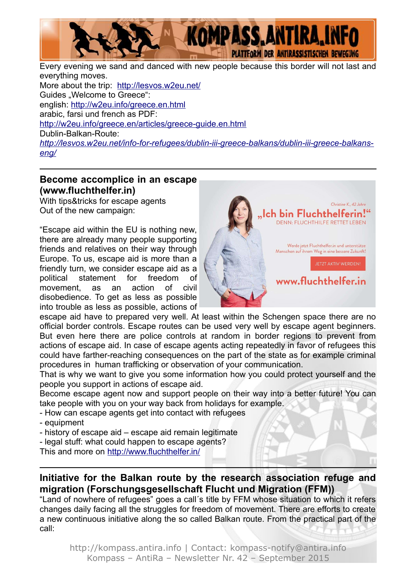

Every evening we sand and danced with new people because this border will not last and everything moves. More about the trip: <http://lesvos.w2eu.net/> Guides "Welcome to Greece": english:<http://w2eu.info/greece.en.html> arabic, farsi und french as PDF: <http://w2eu.info/greece.en/articles/greece-guide.en.html> Dublin-Balkan-Route: *[http://lesvos.w2eu.net/info-for-refugees/dublin-iii-greece-balkans/dublin-iii-greece-balkans](http://lesvos.w2eu.net/info-for-refugees/dublin-iii-greece-balkans/dublin-iii-greece-balkans-eng/)[eng/](http://lesvos.w2eu.net/info-for-refugees/dublin-iii-greece-balkans/dublin-iii-greece-balkans-eng/)*

### **Become accomplice in an escape (www.fluchthelfer.in)**

With tips&tricks for escape agents Out of the new campaign:

"Escape aid within the EU is nothing new, there are already many people supporting friends and relatives on their way through Europe. To us, escape aid is more than a friendly turn, we consider escape aid as a political statement for freedom of movement, as an action of civil disobedience. To get as less as possible into trouble as less as possible, actions of



escape aid have to prepared very well. At least within the Schengen space there are no official border controls. Escape routes can be used very well by escape agent beginners. But even here there are police controls at random in border regions to prevent from actions of escape aid. In case of escape agents acting repeatedly in favor of refugees this could have farther-reaching consequences on the part of the state as for example criminal procedures in human trafficking or observation of your communication.

That is why we want to give you some information how you could protect yourself and the people you support in actions of escape aid.

Become escape agent now and support people on their way into a better future! You can take people with you on your way back from holidays for example.

- How can escape agents get into contact with refugees
- equipment
- history of escape aid escape aid remain legitimate
- legal stuff: what could happen to escape agents?

This and more on<http://www.fluchthelfer.in/>

## **Initiative for the Balkan route by the research association refuge and migration (Forschungsgesellschaft Flucht und Migration (FFM))**

"Land of nowhere of refugees" goes a call´s title by FFM whose situation to which it refers changes daily facing all the struggles for freedom of movement. There are efforts to create a new continuous initiative along the so called Balkan route. From the practical part of the call: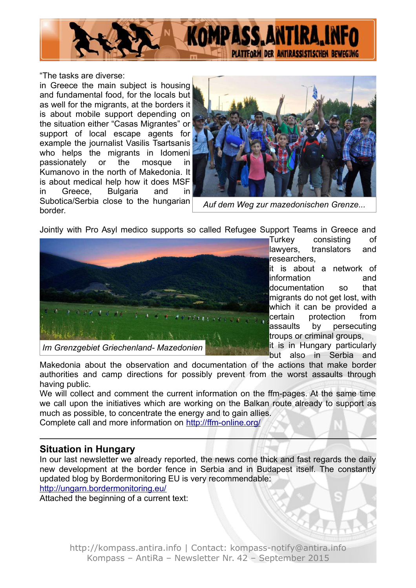

"The tasks are diverse:

in Greece the main subject is housing and fundamental food, for the locals but as well for the migrants, at the borders it is about mobile support depending on the situation either "Casas Migrantes" or support of local escape agents for example the journalist Vasilis Tsartsanis who helps the migrants in Idomeni passionately or the mosque in Kumanovo in the north of Makedonia. It is about medical help how it does MSF in Greece, Bulgaria and in Subotica/Serbia close to the hungarian border.



*Auf dem Weg zur mazedonischen Grenze...*

Jointly with Pro Asyl medico supports so called Refugee Support Teams in Greece and



Turkey consisting of lawyers, translators and researchers,

it is about a network of information and documentation so that migrants do not get lost, with which it can be provided a certain protection from assaults by persecuting troups or criminal groups,

it is in Hungary particularly but also in Serbia and

Makedonia about the observation and documentation of the actions that make border authorities and camp directions for possibly prevent from the worst assaults through having public.

We will collect and comment the current information on the ffm-pages. At the same time we call upon the initiatives which are working on the Balkan route already to support as much as possible, to concentrate the energy and to gain allies.

Complete call and more information on <http://ffm-online.org/>

#### **Situation in Hungary**

In our last newsletter we already reported, the news come thick and fast regards the daily new development at the border fence in Serbia and in Budapest itself. The constantly updated blog by Bordermonitoring EU is very recommendable:

<http://ungarn.bordermonitoring.eu/>

Attached the beginning of a current text: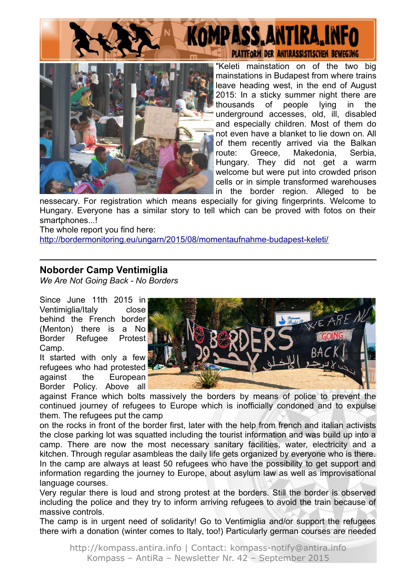



"Keleti mainstation on of the two big mainstations in Budapest from where trains leave heading west, in the end of August 2015: In a sticky summer night there are thousands of people lying in the underground accesses, old, ill, disabled and especially children. Most of them do not even have a blanket to lie down on. All of them recently arrived via the Balkan route: Greece, Makedonia, Serbia, Hungary. They did not get a warm welcome but were put into crowded prison cells or in simple transformed warehouses in the border region. Alleged to be

nessecary. For registration which means especially for giving fingerprints. Welcome to Hungary. Everyone has a similar story to tell which can be proved with fotos on their smartphones...!

The whole report you find here:

<http://bordermonitoring.eu/ungarn/2015/08/momentaufnahme-budapest-keleti/>

#### **Noborder Camp Ventimiglia**

*We Are Not Going Back - No Borders*

Since June 11th 2015 in Ventimiglia/Italy close behind the French border (Menton) there is a No Border Refugee Protest Camp.

It started with only a few refugees who had protested against the European Border Policy. Above all



against France which bolts massively the borders by means of police to prevent the continued journey of refugees to Europe which is inofficially condoned and to expulse them. The refugees put the camp

on the rocks in front of the border first, later with the help from french and italian activists the close parking lot was squatted including the tourist information and was build up into a camp. There are now the most necessary sanitary facilities, water, electricity and a kitchen. Through regular asambleas the daily life gets organized by everyone who is there. In the camp are always at least 50 refugees who have the possibility to get support and information regarding the journey to Europe, about asylum law as well as improvisational language courses.

Very regular there is loud and strong protest at the borders. Still the border is observed including the police and they try to inform arriving refugees to avoid the train because of massive controls.

The camp is in urgent need of solidarity! Go to Ventimiglia and/or support the refugees there wirh a donation (winter comes to Italy, too!) Particularly german courses are needed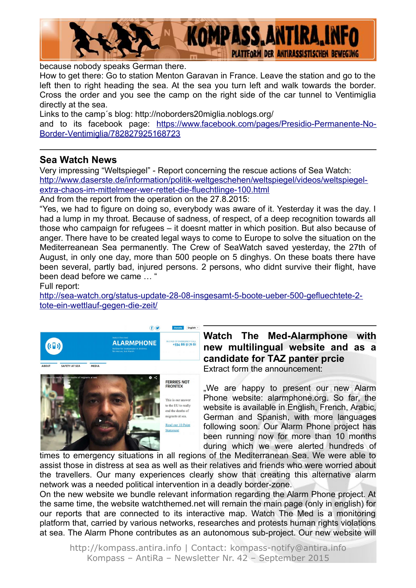

because nobody speaks German there.

How to get there: Go to station Menton Garavan in France. Leave the station and go to the left then to right heading the sea. At the sea you turn left and walk towards the border. Cross the order and you see the camp on the right side of the car tunnel to Ventimiglia directly at the sea.

Links to the camp´s blog: http://noborders20miglia.noblogs.org/

and to its facebook page: [https://www.facebook.com/pages/Presidio-Permanente-No-](https://www.facebook.com/pages/Presidio-Permanente-No-Border-Ventimiglia/782827925168723)[Border-Ventimiglia/782827925168723](https://www.facebook.com/pages/Presidio-Permanente-No-Border-Ventimiglia/782827925168723)

#### **Sea Watch News**

Very impressing "Weltspiegel" - Report concerning the rescue actions of Sea Watch: [http://www.daserste.de/information/politik-weltgeschehen/weltspiegel/videos/weltspiegel](http://www.daserste.de/information/politik-weltgeschehen/weltspiegel/videos/weltspiegel-extra-chaos-im-mittelmeer-wer-rettet-die-fluechtlinge-100.html)[extra-chaos-im-mittelmeer-wer-rettet-die-fluechtlinge-100.html](http://www.daserste.de/information/politik-weltgeschehen/weltspiegel/videos/weltspiegel-extra-chaos-im-mittelmeer-wer-rettet-die-fluechtlinge-100.html)

And from the report from the operation on the 27.8.2015:

"Yes, we had to figure on doing so, everybody was aware of it. Yesterday it was the day. I had a lump in my throat. Because of sadness, of respect, of a deep recognition towards all those who campaign for refugees – it doesnt matter in which position. But also because of anger. There have to be created legal ways to come to Europe to solve the situation on the Mediterreanean Sea permanently. The Crew of SeaWatch saved yesterday, the 27th of August, in only one day, more than 500 people on 5 dinghys. On these boats there have been several, partly bad, injured persons. 2 persons, who didnt survive their flight, have been dead before we came … "

Full report:

[http://sea-watch.org/status-update-28-08-insgesamt-5-boote-ueber-500-gefluechtete-2](http://sea-watch.org/status-update-28-08-insgesamt-5-boote-ueber-500-gefluechtete-2-tote-ein-wettlauf-gegen-die-zeit/) [tote-ein-wettlauf-gegen-die-zeit/](http://sea-watch.org/status-update-28-08-insgesamt-5-boote-ueber-500-gefluechtete-2-tote-ein-wettlauf-gegen-die-zeit/)





#### **Watch The Med-Alarmphone with new multilingual website and as a candidate for TAZ panter prcie**  Extract form the announcement:

.We are happy to present our new Alarm Phone website: alarmphone.org. So far, the website is available in English, French, Arabic, German and Spanish, with more languages following soon. Our Alarm Phone project has been running now for more than 10 months during which we were alerted hundreds of

times to emergency situations in all regions of the Mediterranean Sea. We were able to assist those in distress at sea as well as their relatives and friends who were worried about the travellers. Our many experiences clearly show that creating this alternative alarm network was a needed political intervention in a deadly border-zone.

On the new website we bundle relevant information regarding the Alarm Phone project. At the same time, the website watchthemed.net will remain the main page (only in english) for our reports that are connected to its interactive map. Watch The Med is a monitoring platform that, carried by various networks, researches and protests human rights violations at sea. The Alarm Phone contributes as an autonomous sub-project. Our new website will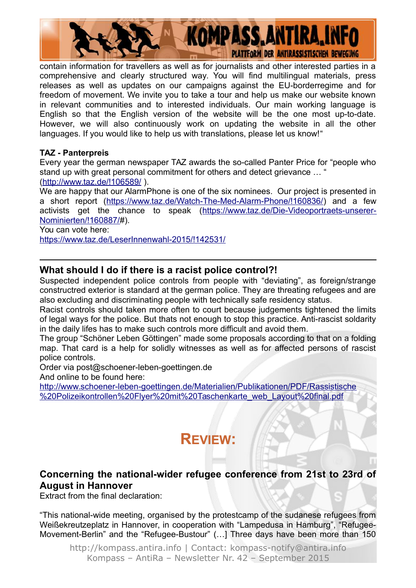

contain information for travellers as well as for journalists and other interested parties in a comprehensive and clearly structured way. You will find multilingual materials, press releases as well as updates on our campaigns against the EU-borderregime and for freedom of movement. We invite you to take a tour and help us make our website known in relevant communities and to interested individuals. Our main working language is English so that the English version of the website will be the one most up-to-date. However, we will also continuously work on updating the website in all the other languages. If you would like to help us with translations, please let us know!"

#### **TAZ - Panterpreis**

Every year the german newspaper TAZ awards the so-called Panter Price for "people who stand up with great personal commitment for others and detect grievance … " [\(http://www.taz.de/!106589/](http://www.taz.de/!106589/) ).

We are happy that our AlarmPhone is one of the six nominees. Our project is presented in a short report [\(https://www.taz.de/Watch-The-Med-Alarm-Phone/!160836/\)](https://www.taz.de/Watch-The-Med-Alarm-Phone/!160836/) and a few activists get the chance to speak [\(https://www.taz.de/Die-Videoportraets-unserer-](https://www.taz.de/Die-Videoportraets-unserer-Nominierten/!160887/)[Nominierten/!160887/#](https://www.taz.de/Die-Videoportraets-unserer-Nominierten/!160887/)).

You can vote here:

<https://www.taz.de/LeserInnenwahl-2015/!142531/>

#### **What should I do if there is a racist police control?!**

Suspected independent police controls from people with "deviating", as foreign/strange constructred exterior is standard at the german police. They are threating refugees and are also excluding and discriminating people with technically safe residency status.

Racist controls should taken more often to court because judgements tightened the limits of legal ways for the police. But thats not enough to stop this practice. Anti-rascist soldarity in the daily lifes has to make such controls more difficult and avoid them.

The group "Schöner Leben Göttingen" made some proposals according to that on a folding map. That card is a help for solidly witnesses as well as for affected persons of rascist police controls.

Order via post@schoener-leben-goettingen.de

And online to be found here:

[http://www.schoener-leben-goettingen.de/Materialien/Publikationen/PDF/Rassistische](http://www.schoener-leben-goettingen.de/Materialien/Publikationen/PDF/Rassistische%20Polizeikontrollen%20Flyer%20mit%20Taschenkarte_web_Layout%20final.pdf) [%20Polizeikontrollen%20Flyer%20mit%20Taschenkarte\\_web\\_Layout%20final.pdf](http://www.schoener-leben-goettingen.de/Materialien/Publikationen/PDF/Rassistische%20Polizeikontrollen%20Flyer%20mit%20Taschenkarte_web_Layout%20final.pdf)

# **REVIEW:**

## **Concerning the national-wider refugee conference from 21st to 23rd of August in Hannover**

Extract from the final declaration:

"This national-wide meeting, organised by the protestcamp of the sudanese refugees from Weißekreutzeplatz in Hannover, in cooperation with "Lampedusa in Hamburg", "Refugee-Movement-Berlin" and the "Refugee-Bustour" (…] Three days have been more than 150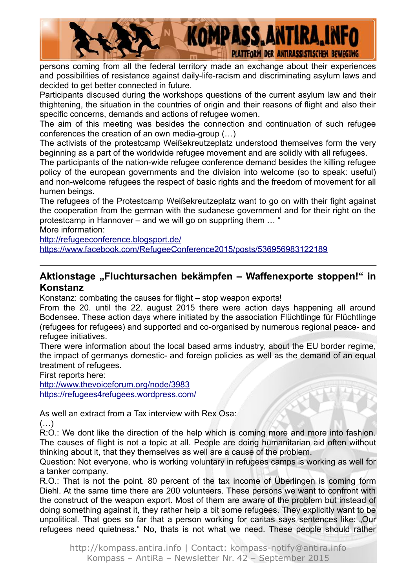

persons coming from all the federal territory made an exchange about their experiences and possibilities of resistance against daily-life-racism and discriminating asylum laws and decided to get better connected in future.

Participants discused during the workshops questions of the current asylum law and their thightening, the situation in the countries of origin and their reasons of flight and also their specific concerns, demands and actions of refugee women.

The aim of this meeting was besides the connection and continuation of such refugee conferences the creation of an own media-group (…)

The activists of the protestcamp Weißekreutzeplatz understood themselves form the very beginning as a part of the worldwide refugee movement and are solidly with all refugees.

The participants of the nation-wide refugee conference demand besides the killing refugee policy of the european governments and the division into welcome (so to speak: useful) and non-welcome refugees the respect of basic rights and the freedom of movement for all humen beings.

The refugees of the Protestcamp Weißekreutzeplatz want to go on with their fight against the cooperation from the german with the sudanese government and for their right on the protestcamp in Hannover – and we will go on supprting them … "

More information:

<http://refugeeconference.blogsport.de/>

<https://www.facebook.com/RefugeeConference2015/posts/536956983122189>

### **Aktionstage "Fluchtursachen bekämpfen – Waffenexporte stoppen!" in Konstanz**

Konstanz: combating the causes for flight – stop weapon exports!

From the 20. until the 22. august 2015 there were action days happening all around Bodensee. These action days where initiated by the association Flüchtlinge für Flüchtlinge (refugees for refugees) and supported and co-organised by numerous regional peace- and refugee initiatives.

There were information about the local based arms industry, about the EU border regime, the impact of germanys domestic- and foreign policies as well as the demand of an equal treatment of refugees.

First reports here:

<http://www.thevoiceforum.org/node/3983> <https://refugees4refugees.wordpress.com/>

As well an extract from a Tax interview with Rex Osa:

 $(\ldots)$ 

R:O.: We dont like the direction of the help which is coming more and more into fashion. The causes of flight is not a topic at all. People are doing humanitarian aid often without thinking about it, that they themselves as well are a cause of the problem.

Question: Not everyone, who is working voluntary in refugees camps is working as well for a tanker company.

R.O.: That is not the point. 80 percent of the tax income of Überlingen is coming form Diehl. At the same time there are 200 volunteers. These persons we want to confront with the construct of the weapon export. Most of them are aware of the problem but instead of doing something against it, they rather help a bit some refugees. They explicitly want to be unpolitical. That goes so far that a person working for caritas says sentences like: "Our refugees need quietness." No, thats is not what we need. These people should rather